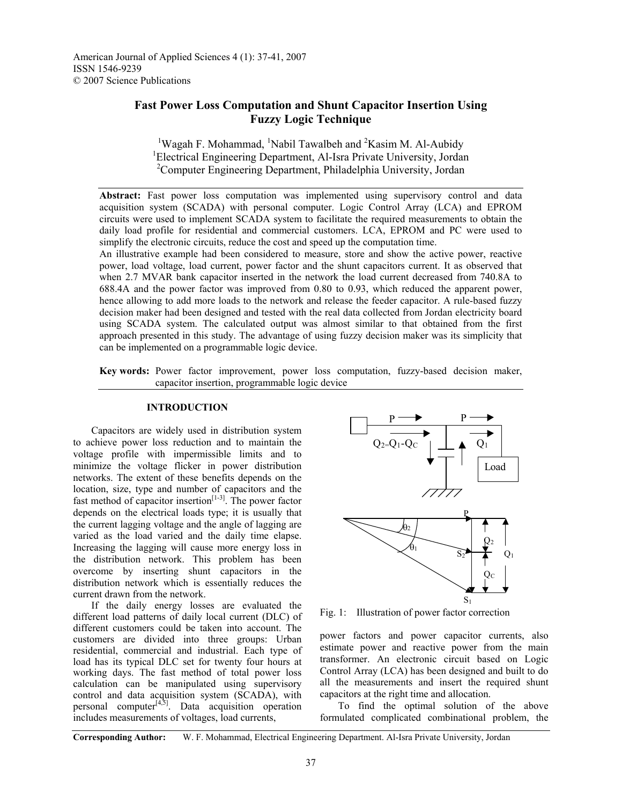American Journal of Applied Sciences 4 (1): 37-41, 2007 ISSN 1546-9239 © 2007 Science Publications

## **Fast Power Loss Computation and Shunt Capacitor Insertion Using Fuzzy Logic Technique**

<sup>1</sup>Wagah F. Mohammad, <sup>1</sup>Nabil Tawalbeh and <sup>2</sup>Kasim M. Al-Aubidy <sup>1</sup>Electrical Engineering Department, Al-Isra Private University, Jordan 2 Computer Engineering Department, Philadelphia University, Jordan

**Abstract:** Fast power loss computation was implemented using supervisory control and data acquisition system (SCADA) with personal computer. Logic Control Array (LCA) and EPROM circuits were used to implement SCADA system to facilitate the required measurements to obtain the daily load profile for residential and commercial customers. LCA, EPROM and PC were used to simplify the electronic circuits, reduce the cost and speed up the computation time.

An illustrative example had been considered to measure, store and show the active power, reactive power, load voltage, load current, power factor and the shunt capacitors current. It as observed that when 2.7 MVAR bank capacitor inserted in the network the load current decreased from 740.8A to 688.4A and the power factor was improved from 0.80 to 0.93, which reduced the apparent power, hence allowing to add more loads to the network and release the feeder capacitor. A rule-based fuzzy decision maker had been designed and tested with the real data collected from Jordan electricity board using SCADA system. The calculated output was almost similar to that obtained from the first approach presented in this study. The advantage of using fuzzy decision maker was its simplicity that can be implemented on a programmable logic device.

**Key words:** Power factor improvement, power loss computation, fuzzy-based decision maker, capacitor insertion, programmable logic device

## **INTRODUCTION**

 Capacitors are widely used in distribution system to achieve power loss reduction and to maintain the voltage profile with impermissible limits and to minimize the voltage flicker in power distribution networks. The extent of these benefits depends on the location, size, type and number of capacitors and the fast method of capacitor insertion<sup>[1-3]</sup>. The power factor depends on the electrical loads type; it is usually that the current lagging voltage and the angle of lagging are varied as the load varied and the daily time elapse. Increasing the lagging will cause more energy loss in the distribution network. This problem has been overcome by inserting shunt capacitors in the distribution network which is essentially reduces the current drawn from the network.

 If the daily energy losses are evaluated the different load patterns of daily local current (DLC) of different customers could be taken into account. The customers are divided into three groups: Urban residential, commercial and industrial. Each type of load has its typical DLC set for twenty four hours at working days. The fast method of total power loss calculation can be manipulated using supervisory control and data acquisition system (SCADA), with personal computer $[4,5]$ . Data acquisition operation includes measurements of voltages, load currents,



Fig. 1: Illustration of power factor correction

power factors and power capacitor currents, also estimate power and reactive power from the main transformer. An electronic circuit based on Logic Control Array (LCA) has been designed and built to do all the measurements and insert the required shunt capacitors at the right time and allocation.

 To find the optimal solution of the above formulated complicated combinational problem, the

**Corresponding Author:** W. F. Mohammad, Electrical Engineering Department. Al-Isra Private University, Jordan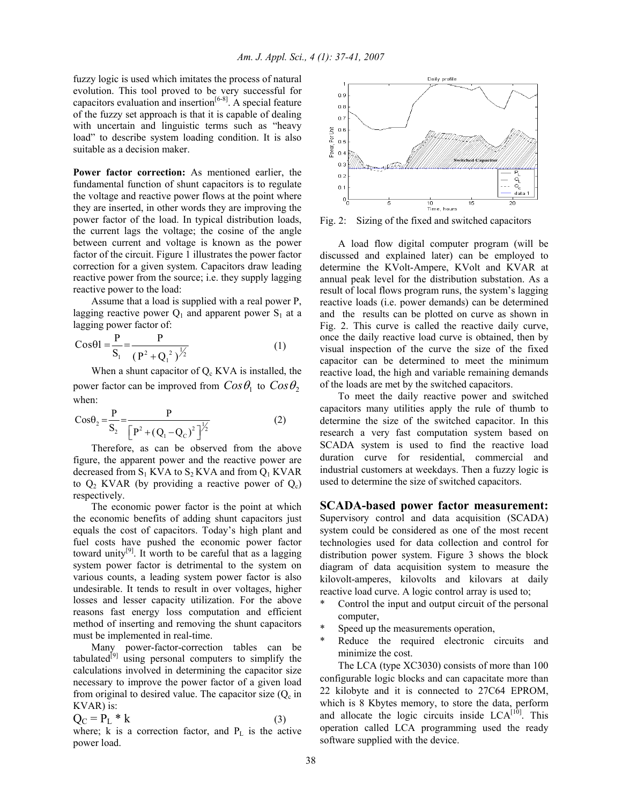fuzzy logic is used which imitates the process of natural evolution. This tool proved to be very successful for capacitors evaluation and insertion $[6-8]$ . A special feature of the fuzzy set approach is that it is capable of dealing with uncertain and linguistic terms such as "heavy load" to describe system loading condition. It is also suitable as a decision maker.

**Power factor correction:** As mentioned earlier, the fundamental function of shunt capacitors is to regulate the voltage and reactive power flows at the point where they are inserted, in other words they are improving the power factor of the load. In typical distribution loads, the current lags the voltage; the cosine of the angle between current and voltage is known as the power factor of the circuit. Figure 1 illustrates the power factor correction for a given system. Capacitors draw leading reactive power from the source; i.e. they supply lagging reactive power to the load:

 Assume that a load is supplied with a real power P, lagging reactive power  $Q_1$  and apparent power  $S_1$  at a lagging power factor of:

$$
Cos\theta 1 = \frac{P}{S_1} = \frac{P}{(P^2 + Q_1^2)^{\frac{1}{2}}}
$$
 (1)

When a shunt capacitor of  $Q_c$  KVA is installed, the power factor can be improved from  $Cos\theta_1$  to  $Cos\theta_2$ when:

$$
Cos\theta_2 = \frac{P}{S_2} = \frac{P}{\left[P^2 + (Q_1 - Q_C)^2\right]^{1/2}}
$$
 (2)

 Therefore, as can be observed from the above figure, the apparent power and the reactive power are decreased from  $S_1$  KVA to  $S_2$  KVA and from  $Q_1$  KVAR to  $Q_2$  KVAR (by providing a reactive power of  $Q_c$ ) respectively.

 The economic power factor is the point at which the economic benefits of adding shunt capacitors just equals the cost of capacitors. Today's high plant and fuel costs have pushed the economic power factor toward unity<sup>[9]</sup>. It worth to be careful that as a lagging system power factor is detrimental to the system on various counts, a leading system power factor is also undesirable. It tends to result in over voltages, higher losses and lesser capacity utilization. For the above reasons fast energy loss computation and efficient method of inserting and removing the shunt capacitors must be implemented in real-time.

 Many power-factor-correction tables can be tabulated<sup>[9]</sup> using personal computers to simplify the calculations involved in determining the capacitor size necessary to improve the power factor of a given load from original to desired value. The capacitor size  $(Q_c \text{ in }$ KVAR) is:

$$
Q_C = P_L * k \tag{3}
$$

where; k is a correction factor, and  $P_L$  is the active power load.



Fig. 2: Sizing of the fixed and switched capacitors

 A load flow digital computer program (will be discussed and explained later) can be employed to determine the KVolt-Ampere, KVolt and KVAR at annual peak level for the distribution substation. As a result of local flows program runs, the system's lagging reactive loads (i.e. power demands) can be determined and the results can be plotted on curve as shown in Fig. 2. This curve is called the reactive daily curve, once the daily reactive load curve is obtained, then by visual inspection of the curve the size of the fixed capacitor can be determined to meet the minimum reactive load, the high and variable remaining demands of the loads are met by the switched capacitors.

 To meet the daily reactive power and switched capacitors many utilities apply the rule of thumb to determine the size of the switched capacitor. In this research a very fast computation system based on SCADA system is used to find the reactive load duration curve for residential, commercial and industrial customers at weekdays. Then a fuzzy logic is used to determine the size of switched capacitors.

**SCADA-based power factor measurement:** 

Supervisory control and data acquisition (SCADA) system could be considered as one of the most recent technologies used for data collection and control for distribution power system. Figure 3 shows the block diagram of data acquisition system to measure the kilovolt-amperes, kilovolts and kilovars at daily reactive load curve. A logic control array is used to;

- \* Control the input and output circuit of the personal computer,
- Speed up the measurements operation,
- Reduce the required electronic circuits and minimize the cost.

 The LCA (type XC3030) consists of more than 100 configurable logic blocks and can capacitate more than 22 kilobyte and it is connected to 27C64 EPROM, which is 8 Kbytes memory, to store the data, perform and allocate the logic circuits inside  $LCA<sup>[10]</sup>$ . This operation called LCA programming used the ready software supplied with the device.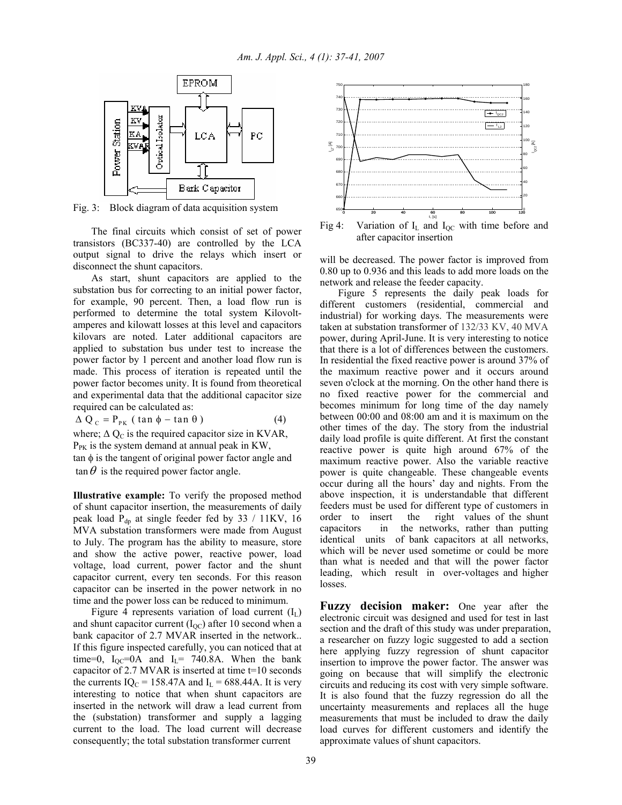

Fig. 3: Block diagram of data acquisition system

 The final circuits which consist of set of power transistors (BC337-40) are controlled by the LCA output signal to drive the relays which insert or disconnect the shunt capacitors.

 As start, shunt capacitors are applied to the substation bus for correcting to an initial power factor, for example, 90 percent. Then, a load flow run is performed to determine the total system Kilovoltamperes and kilowatt losses at this level and capacitors kilovars are noted. Later additional capacitors are applied to substation bus under test to increase the power factor by 1 percent and another load flow run is made. This process of iteration is repeated until the power factor becomes unity. It is found from theoretical and experimental data that the additional capacitor size required can be calculated as:

$$
\Delta Q_C = P_{PK} (tan \phi - tan \theta)
$$
 (4)

where;  $\Delta Q_C$  is the required capacitor size in KVAR,  $P_{PK}$  is the system demand at annual peak in KW, tan φ is the tangent of original power factor angle and  $\tan \theta$  is the required power factor angle.

**Illustrative example:** To verify the proposed method of shunt capacitor insertion, the measurements of daily peak load  $P_{dp}$  at single feeder fed by 33 / 11KV, 16 MVA substation transformers were made from August to July. The program has the ability to measure, store and show the active power, reactive power, load voltage, load current, power factor and the shunt capacitor current, every ten seconds. For this reason capacitor can be inserted in the power network in no time and the power loss can be reduced to minimum.

Figure 4 represents variation of load current  $(I_L)$ and shunt capacitor current  $(I<sub>OC</sub>)$  after 10 second when a bank capacitor of 2.7 MVAR inserted in the network.. If this figure inspected carefully, you can noticed that at time=0,  $I_{OC}$ =0A and  $I_L$ = 740.8A. When the bank capacitor of 2.7 MVAR is inserted at time t=10 seconds the currents IQ<sub>C</sub> = 158.47A and I<sub>L</sub> = 688.44A. It is very interesting to notice that when shunt capacitors are inserted in the network will draw a lead current from the (substation) transformer and supply a lagging current to the load. The load current will decrease consequently; the total substation transformer current



Fig 4: Variation of  $I_L$  and  $I_{OC}$  with time before and after capacitor insertion

will be decreased. The power factor is improved from 0.80 up to 0.936 and this leads to add more loads on the network and release the feeder capacity.

 Figure 5 represents the daily peak loads for different customers (residential, commercial and industrial) for working days. The measurements were taken at substation transformer of 132/33 KV, 40 MVA power, during April-June. It is very interesting to notice that there is a lot of differences between the customers. In residential the fixed reactive power is around 37% of the maximum reactive power and it occurs around seven o'clock at the morning. On the other hand there is no fixed reactive power for the commercial and becomes minimum for long time of the day namely between 00:00 and 08:00 am and it is maximum on the other times of the day. The story from the industrial daily load profile is quite different. At first the constant reactive power is quite high around 67% of the maximum reactive power. Also the variable reactive power is quite changeable. These changeable events occur during all the hours' day and nights. From the above inspection, it is understandable that different feeders must be used for different type of customers in order to insert the right values of the shunt capacitors in the networks, rather than putting identical units of bank capacitors at all networks, which will be never used sometime or could be more than what is needed and that will the power factor leading, which result in over-voltages and higher losses.

**Fuzzy decision maker:** One year after the electronic circuit was designed and used for test in last section and the draft of this study was under preparation, a researcher on fuzzy logic suggested to add a section here applying fuzzy regression of shunt capacitor insertion to improve the power factor. The answer was going on because that will simplify the electronic circuits and reducing its cost with very simple software. It is also found that the fuzzy regression do all the uncertainty measurements and replaces all the huge measurements that must be included to draw the daily load curves for different customers and identify the approximate values of shunt capacitors.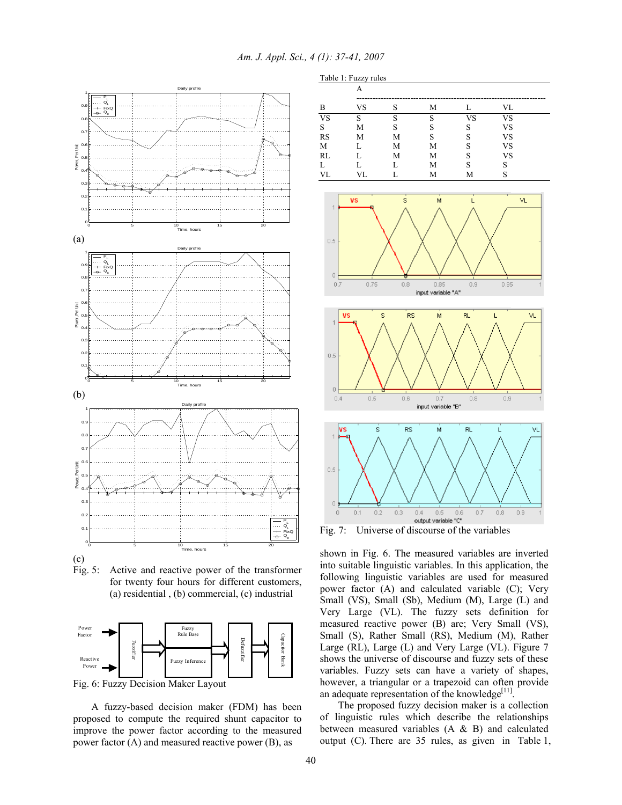Table 1: Fuzzy rules



Fig. 5: Active and reactive power of the transformer for twenty four hours for different customers, (a) residential , (b) commercial, (c) industrial



Fig. 6: Fuzzy Decision Maker Layout

 A fuzzy-based decision maker (FDM) has been proposed to compute the required shunt capacitor to improve the power factor according to the measured power factor (A) and measured reactive power (B), as



Fig. 7: Universe of discourse of the variables

shown in Fig. 6. The measured variables are inverted into suitable linguistic variables. In this application, the following linguistic variables are used for measured power factor (A) and calculated variable (C); Very Small (VS), Small (Sb), Medium (M), Large (L) and Very Large (VL). The fuzzy sets definition for measured reactive power (B) are; Very Small (VS), Small (S), Rather Small (RS), Medium (M), Rather Large (RL), Large (L) and Very Large (VL). Figure 7 shows the universe of discourse and fuzzy sets of these variables. Fuzzy sets can have a variety of shapes, however, a triangular or a trapezoid can often provide an adequate representation of the knowledge<sup>[11]</sup>.

 The proposed fuzzy decision maker is a collection of linguistic rules which describe the relationships between measured variables (A & B) and calculated output (C). There are 35 rules, as given in Table 1,